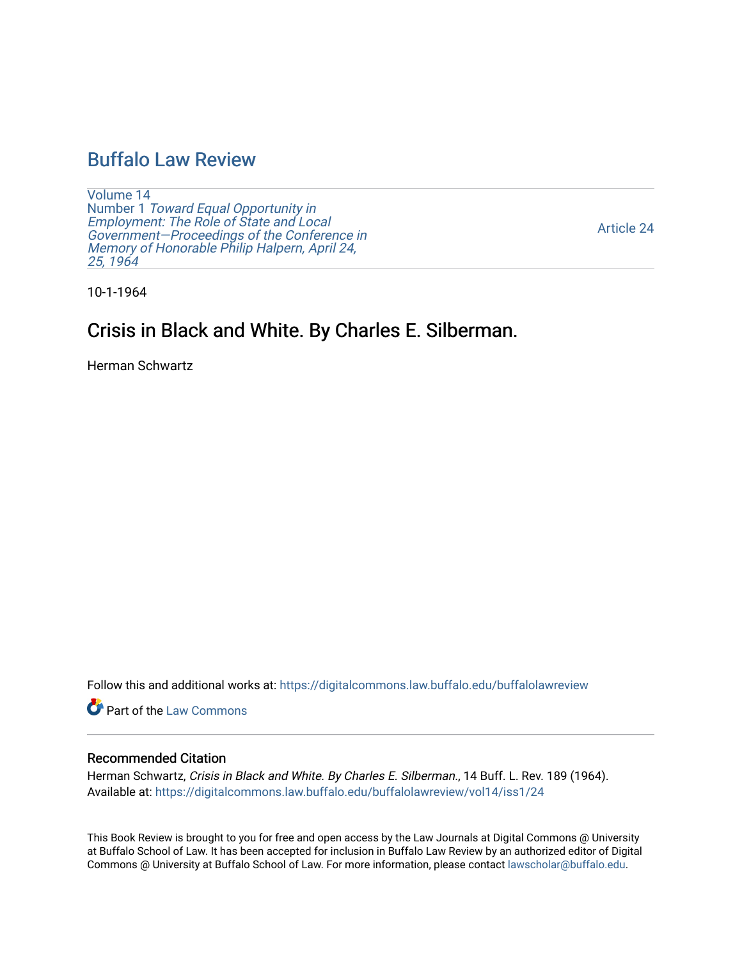# [Buffalo Law Review](https://digitalcommons.law.buffalo.edu/buffalolawreview)

[Volume 14](https://digitalcommons.law.buffalo.edu/buffalolawreview/vol14) Number 1 [Toward Equal Opportunity in](https://digitalcommons.law.buffalo.edu/buffalolawreview/vol14/iss1)  [Employment: The Role of State and Local](https://digitalcommons.law.buffalo.edu/buffalolawreview/vol14/iss1)  [Government—Proceedings of the Conference in](https://digitalcommons.law.buffalo.edu/buffalolawreview/vol14/iss1)  [Memory of Honorable Philip Halpern, April 24,](https://digitalcommons.law.buffalo.edu/buffalolawreview/vol14/iss1)  [25, 1964](https://digitalcommons.law.buffalo.edu/buffalolawreview/vol14/iss1) 

[Article 24](https://digitalcommons.law.buffalo.edu/buffalolawreview/vol14/iss1/24) 

10-1-1964

# Crisis in Black and White. By Charles E. Silberman.

Herman Schwartz

Follow this and additional works at: [https://digitalcommons.law.buffalo.edu/buffalolawreview](https://digitalcommons.law.buffalo.edu/buffalolawreview?utm_source=digitalcommons.law.buffalo.edu%2Fbuffalolawreview%2Fvol14%2Fiss1%2F24&utm_medium=PDF&utm_campaign=PDFCoverPages) 

Part of the [Law Commons](http://network.bepress.com/hgg/discipline/578?utm_source=digitalcommons.law.buffalo.edu%2Fbuffalolawreview%2Fvol14%2Fiss1%2F24&utm_medium=PDF&utm_campaign=PDFCoverPages)

### Recommended Citation

Herman Schwartz, Crisis in Black and White. By Charles E. Silberman., 14 Buff. L. Rev. 189 (1964). Available at: [https://digitalcommons.law.buffalo.edu/buffalolawreview/vol14/iss1/24](https://digitalcommons.law.buffalo.edu/buffalolawreview/vol14/iss1/24?utm_source=digitalcommons.law.buffalo.edu%2Fbuffalolawreview%2Fvol14%2Fiss1%2F24&utm_medium=PDF&utm_campaign=PDFCoverPages)

This Book Review is brought to you for free and open access by the Law Journals at Digital Commons @ University at Buffalo School of Law. It has been accepted for inclusion in Buffalo Law Review by an authorized editor of Digital Commons @ University at Buffalo School of Law. For more information, please contact [lawscholar@buffalo.edu](mailto:lawscholar@buffalo.edu).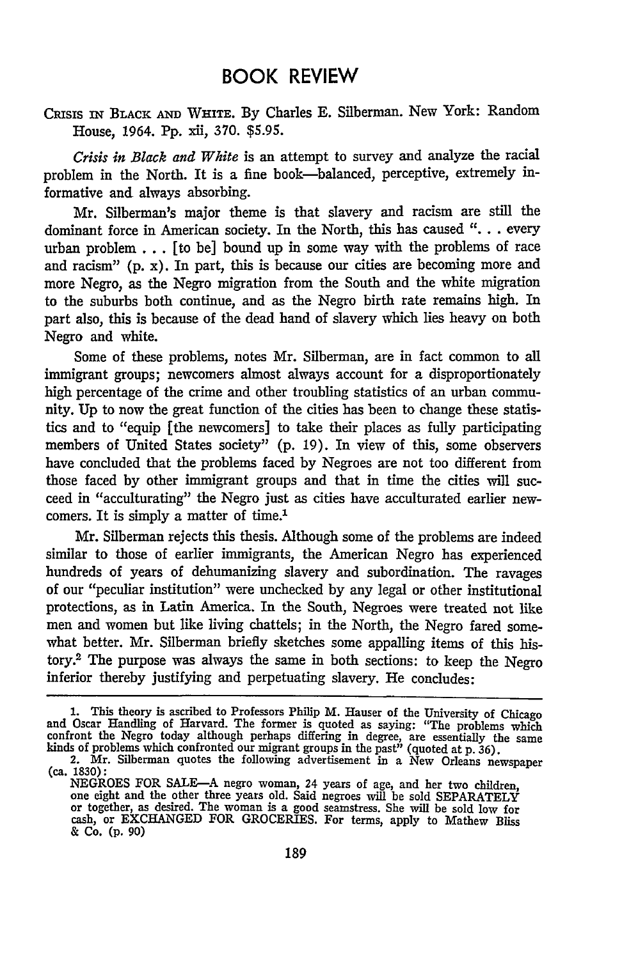## BOOK REVIEW

Cnss IN BLACK **AND** WHIm. By Charles **E.** Silberman. New York: Random House, 1964. **Pp.** xii, 370. **\$5.95.**

*Crisis in Black and White* is an attempt to survey and analyze the racial problem in the North. It is a fine book-balanced, perceptive, extremely informative and always absorbing.

Mr. Silberman's major theme is that slavery and racism are still the dominant force in American society. In the North, this has caused *"...* **.** every urban problem **...** [to be] bound up in some way with the problems of race and racism" **(p.** x). In part, this is because our cities are becoming more and more Negro, as the Negro migration from the South and the white migration to the suburbs both continue, and as the Negro birth rate remains high. In part also, this is because of the dead hand of slavery which lies heavy on both Negro and white.

Some of these problems, notes Mr. Silberman, are in fact common to all immigrant groups; newcomers almost always account for a disproportionately high percentage of the crime and other troubling statistics of an urban community. **Up** to now the great function of the cities has been to change these statistics and to "equip [the newcomers] to take their places as fully participating members of United States society" **(p.** 19). In view of this, some observers have concluded that the problems faced **by** Negroes are not too different from those faced **by** other immigrant groups and that in time the cities will succeed in "acculturating" the Negro just as cities have acculturated earlier newcomers. It is simply a matter of time.<sup>1</sup>

Mr. Silberman rejects this thesis. Although some of the problems are indeed similar to those of earlier immigrants, the American Negro has experienced hundreds of years of dehumanizing slavery and subordination. The ravages of our "peculiar institution" were unchecked **by** any legal or other institutional protections, as in Latin America. In the South, Negroes were treated not like men and women but like living chattels; in the North, the Negro fared somewhat better. Mr. Silberman briefly sketches some appalling items of this history.2 The purpose was always the same in both sections: to keep the Negro inferior thereby justifying and perpetuating slavery. He concludes:

**<sup>1.</sup>** This theory is ascribed to Professors Philip M. Hauser of the University of Chicago and Oscar Handling of Harvard. The former is quoted as saying: "The problems which confront the Negro today although perhaps differing in degree, are essentially the same kinds of problems which confronted our migrant groups in the past" (quoted at **p.** 36).

<sup>2.</sup> Mr. Silberman quotes the following advertisement in a New Orleans newspaper (ca. **1830):**

NEGROES FOR SALE-A negro woman, 24 years of age, and her two children, one eight and the other three years old. Said negroes will be sold SEPARATELY or together, as desired. The woman is a good seamstress. She will be sold low for<br>cash, or EXCHANGED FOR GROCERIES. For terms, apply to Mathew Bliss & **Co. (p. 90)**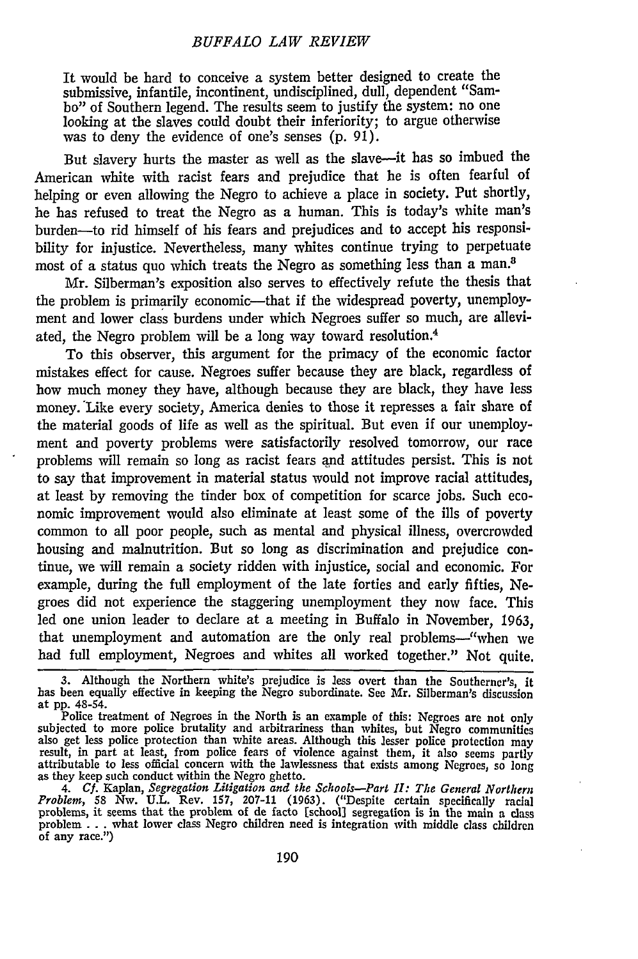It would be hard to conceive a system better designed to create the submissive, infantile, incontinent, undisciplined, dull, dependent "Sambo" of Southern legend. The results seem to justify the system: no one looking at the slaves could doubt their inferiority; to argue otherwise was to deny the evidence of one's senses (p. 91).

But slavery hurts the master as well as the slave-it has so imbued the American white with racist fears and prejudice that he is often fearful of helping or even allowing the Negro to achieve a place in society. Put shortly, he has refused to treat the Negro as a human. This is today's white man's burden-to rid himself of his fears and prejudices and to accept his responsibility for injustice. Nevertheless, many whites continue trying to perpetuate most of a status quo which treats the Negro as something less than a man.8

Mr. Silberman's exposition also serves to effectively refute the thesis that the problem is primarily economic---that if the widespread poverty, unemployment and lower class burdens under which Negroes suffer so much, are alleviated, the Negro problem will be a long way toward resolution.<sup>4</sup>

To this observer, this argument for the primacy of the economic factor mistakes effect for cause. Negroes suffer because they are black, regardless of how much money they have, although because they are black, they have less money. Like every society, America denies to those it represses a fair share of the material goods of life as well as the spiritual. But even if our unemployment and poverty problems were satisfactorily resolved tomorrow, our race problems will remain so long as racist fears **and** attitudes persist. This is not to say that improvement in material status would not improve racial attitudes, at least by removing the tinder box of competition for scarce jobs. Such economic improvement would also eliminate at least some of the ills of poverty common to all poor people, such as mental and physical illness, overcrowded housing and malnutrition. But so long as discrimination and prejudice continue, we will remain a society ridden with injustice, social and economic. For example, during the full employment of the late forties and early fifties, Negroes did not experience the staggering unemployment they now face. This led one union leader to declare at a meeting in Buffalo in November, 1963, that unemployment and automation are the only real problems---"when we had full employment, Negroes and whites all worked together." Not quite.

**<sup>3.</sup>** Although the Northern white's prejudice is less overt than the Southerner's, it has been equally effective in keeping the Negro subordinate. See Mr. Silberman's discussion at **pp.** 48-54.

Police treatment of Negroes in the North is an example of this: Negroes are not only subjected to more police brutality and arbitrariness than whites, but Negro communities<br>also get less police protection than white areas. Although this lesser police protection may<br>result, in part at least, from police fea attributable to less official concern with the lawlessness that exists among Negroes, so long as they keep such conduct within the Negro ghetto.

<sup>4.</sup> Cf. Kaplan, Segregation Litigation and the Schools-Part II: The General Northern<br>Problem, 58 Nw. U.L. Rev. 157, 207-11 (1963). ("Despite certain specifically racial<br>problems, it seems that the problem of de facto [schoo problem ...what lower class Negro children need is integration with middle class children of any race.")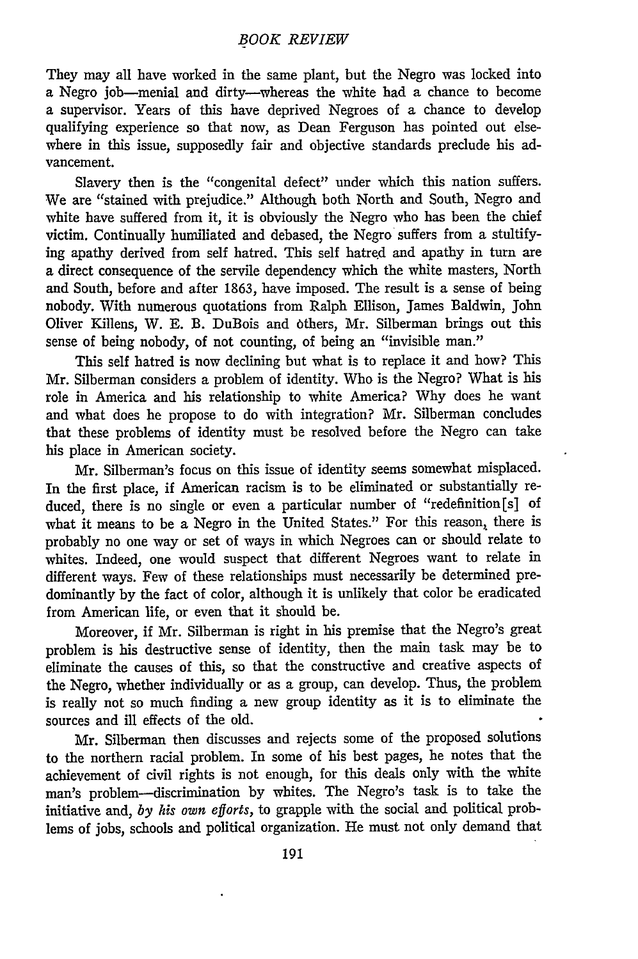### *BOOK REVIEW*

They may all have worked in the same plant, but the Negro was locked into a Negro job-menial and dirty-whereas the white had a chance to become a supervisor. Years of this have deprived Negroes of a chance to develop qualifying experience so that now, as Dean Ferguson has pointed out elsewhere in this issue, supposedly fair and objective standards preclude his advancement.

Slavery then is the "congenital defect" under which this nation suffers. We are "stained with prejudice." Although both North and South, Negro and white have suffered from it, it is obviously the Negro who has been the chief victim. Continually humiliated and debased, the Negro suffers from a stultifying apathy derived from self hatred. This self hatred and apathy in turn are a direct consequence of the servile dependency which the white masters, North and South, before and after 1863, have imposed. The result is a sense of being nobody. With numerous quotations from Ralph Ellison, James Baldwin, John Oliver Killens, W. E. B. DuBois and 6thers, Mr. Silberman brings out this sense of being nobody, of not counting, of being an "invisible man."

This self hatred is now declining but what is to replace it and how? This Mr. Silberman considers a problem of identity. Who is the Negro? What is his role in America and his relationship to white America? Why does he want and what does he propose to do with integration? Mr. Silberman concludes that these problems of identity must be resolved before the Negro can take his place in American society.

Mr. Silberman's focus on this issue of identity seems somewhat misplaced. In the first place, if American racism is to be eliminated or substantially reduced, there is no single or even a particular number of "redefinition [s] of what it means to be a Negro in the United States." For this reason, there is probably no one way or set of ways in which Negroes can or should relate to whites. Indeed, one would suspect that different Negroes want to relate in different ways. Few of these relationships must necessarily be determined predominantly by the fact of color, although it is unlikely that color be eradicated from American life, or even that it should be.

Moreover, if Mr. Silberman is right in his premise that the Negro's great problem is his destructive sense of identity, then the main task may be to eliminate the causes of this, so that the constructive and creative aspects of the Negro, whether individually or as a group, can develop. Thus, the problem is really not so much finding a new group identity as it is to eliminate the sources and ill effects of the old.

Mr. Silberman then discusses and rejects some of the proposed solutions to the northern racial problem. In some of his best pages, he notes that the achievement of civil rights is not enough, for this deals only with the white man's problem---discrimination by whites. The Negro's task is to take the initiative and, *by his own efforts,* to grapple with the social and political problems of jobs, schools and political organization. He must not only demand that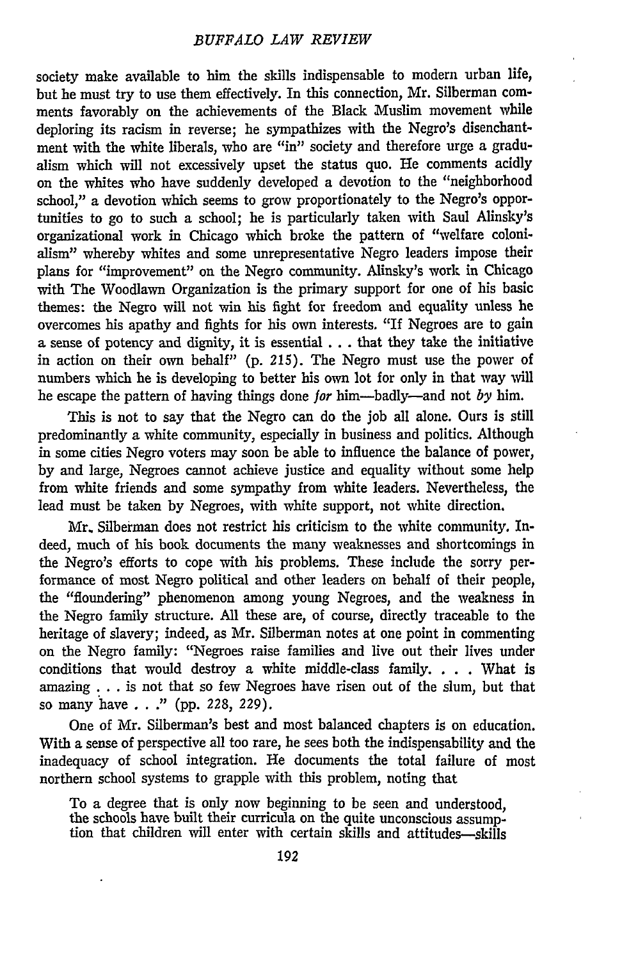society make available to him the skills indispensable to modern urban life, but he must try to use them effectively. In this connection, Mr. Silberman comments favorably on the achievements of the Black Muslim movement while deploring its racism in reverse; he sympathizes with the Negro's disenchantment with the white liberals, who are "in" society and therefore urge a gradualism which will not excessively upset the status quo. He comments acidly on the whites who have suddenly developed a devotion to the "neighborhood school," a devotion which seems to grow proportionately to the Negro's opportunities to go to such a school; he is particularly taken with Saul Alinsky's organizational work in Chicago which broke the pattern of "welfare colonialism" whereby whites and some unrepresentative Negro leaders impose their plans for "improvement" on the Negro community. Alinsky's work in Chicago with The Woodlawn Organization is the primary support for one of his basic themes: the Negro will not win his fight for freedom and equality unless he overcomes his apathy and fights for his own interests. "If Negroes are to gain a sense of potency and dignity, it is essential **...** that they take the initiative in action on their own behalf" **(p. 215).** The Negro must use the power of numbers which he is developing to better his own lot for only in that way will he escape the pattern of having things done for him-badly-and not *by* him.

This is not to say that the Negro can do the **job** all alone. Ours is still predominantly a white community, especially in business and politics. Although in some cities Negro voters may soon be able to influence the balance of power, **by** and large, Negroes cannot achieve justice and equality without some help from white friends and some sympathy from white leaders. Nevertheless, the lead must be taken **by** Negroes, with white support, not white direction.

Mr. Silberman does not restrict his criticism to the white community. Indeed, much of his book documents the many weaknesses and shortcomings in the Negro's efforts to cope with his problems. These include the sorry performance of most Negro political and other leaders on behalf of their people, the "floundering" phenomenon among young Negroes, and the weakness in the Negro family structure. **All** these are, of course, directly traceable to the heritage of slavery; indeed, as Mr. Silberman notes at one point in commenting on the Negro family: "Negroes raise families and live out their lives under conditions that would destroy a white middle-class family. . **.** . What is **amazing...** is not that so few Negroes have risen out of the slum, but that so many have **. . ." (pp. 228, 229).**

One of Mr. Silberman's best and most balanced chapters is on education. With a sense of perspective all too rare, he sees both the indispensability and the inadequacy of school integration. He documents the total failure of most northern school systems to grapple with this problem, noting that

To a degree that is only now beginning to be seen and understood, the schools have built their curricula on the quite unconscious assumption that children will enter with certain skills and attitudes-skills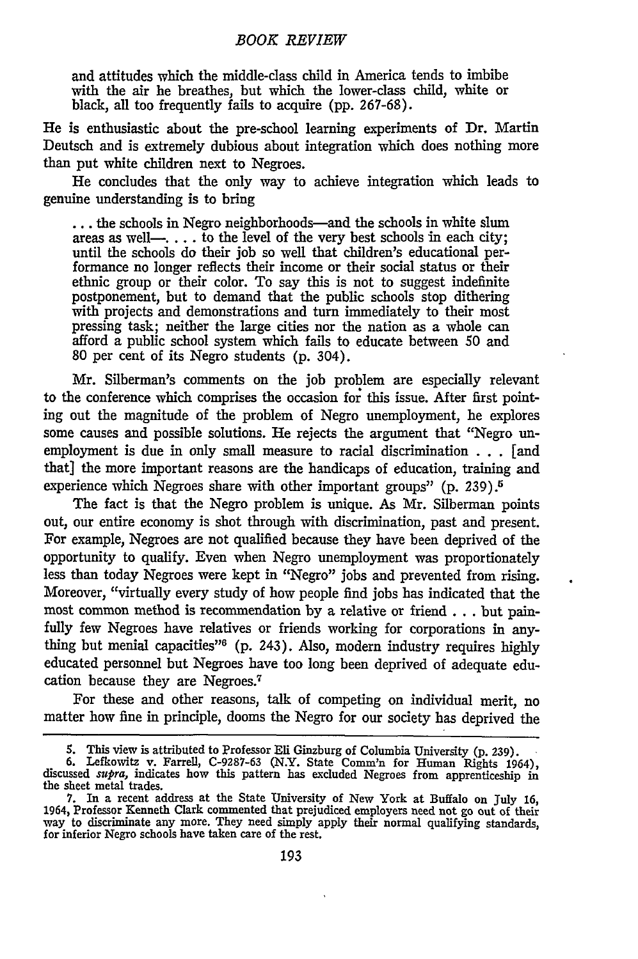#### *BOOK REVIEW*

and attitudes which the middle-class child in America tends to imbibe with the air he breathes, but which the lower-class child, white or black, all too frequently fails to acquire (pp. 267-68).

He is enthusiastic about the pre-school learning experiments of Dr. Martin Deutsch and is extremely dubious about integration which does nothing more than put white children next to Negroes.

He concludes that the only way to achieve integration which leads to genuine understanding is to bring

**...** the schools in Negro neighborhoods-and the schools in white slum areas as well-.... to the level of the very best schools in each city; until the schools do their job so well that children's educational performance no longer reflects their income or their social status or their ethnic group or their color. To say this is not to suggest indefinite postponement, but to demand that the public schools stop dithering with projects and demonstrations and turn immediately to their most pressing task; neither the large cities nor the nation as a whole can afford a public school system which fails to educate between **50** and 80 per cent of its Negro students (p. 304).

Mr. Silberman's comments on the job problem are especially relevant to the conference which comprises the occasion for this issue. After first pointing out the magnitude of the problem of Negro unemployment, he explores some causes and possible solutions. He rejects the argument that "Negro unemployment is due in only small measure to racial discrimination . **.** . [and that] the more important reasons are the handicaps of education, training and experience which Negroes share with other important groups" (p. 239).5

The fact is that the Negro problem is unique. As Mr. Silberman points out, our entire economy is shot through with discrimination, past and present. For example, Negroes are not qualified because they have been deprived of the opportunity to qualify. Even when Negro unemployment was proportionately less than today Negroes were kept in "Negro" jobs and prevented from rising. Moreover, "virtually every study of how people find jobs has indicated that the most common method is recommendation by a relative or friend . **..** but painfully few Negroes have relatives or friends working for corporations in anything but menial capacities"<sup>6</sup> (p. 243). Also, modern industry requires highly educated personnel but Negroes have too long been deprived of adequate education because they are Negroes.<sup>7</sup>

For these and other reasons, talk of competing on individual merit, no matter how fine in principle, dooms the Negro for our society has deprived the

<sup>5.</sup> This view is attributed to Professor Eli Ginzburg of Columbia University (p. 239).<br>6. Lefkowitz v. Farrell, C-9287-63 (N.Y. State Comm'n for Human Rights 1964), discussed *supra*, indicates how this pattern has exclude the sheet metal trades.

<sup>7.</sup> In a recent address at the State University of New York at Buffalo on July 16, 1964, Professor Kenneth Clark commented that prejudiced employers need not go out of their way to discriminate any more. They need simply apply their normal qualifying standards, for inferior Negro schools have taken care of the rest.